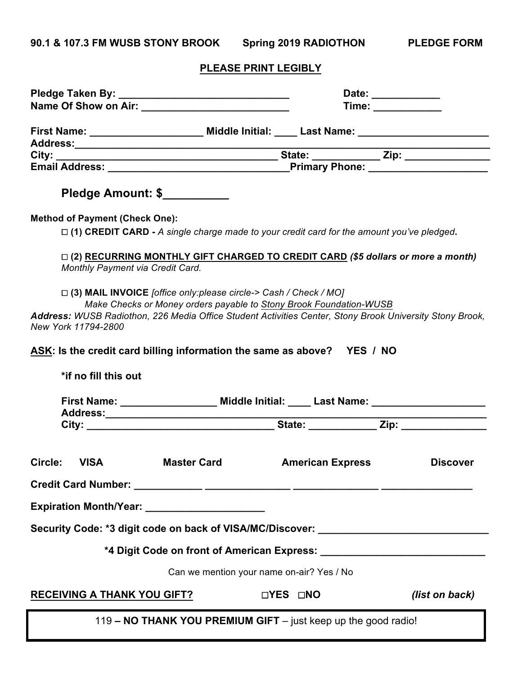**90.1 & 107.3 FM WUSB STONY BROOK Spring 2019 RADIOTHON PLEDGE FORM**

## **PLEASE PRINT LEGIBLY**

|                                                                                                                                                                                                                                                                             | Date: ____________<br>Time: _______________ |  |  |  |  |
|-----------------------------------------------------------------------------------------------------------------------------------------------------------------------------------------------------------------------------------------------------------------------------|---------------------------------------------|--|--|--|--|
|                                                                                                                                                                                                                                                                             |                                             |  |  |  |  |
|                                                                                                                                                                                                                                                                             |                                             |  |  |  |  |
|                                                                                                                                                                                                                                                                             |                                             |  |  |  |  |
| Pledge Amount: \$                                                                                                                                                                                                                                                           |                                             |  |  |  |  |
| <b>Method of Payment (Check One):</b>                                                                                                                                                                                                                                       |                                             |  |  |  |  |
| $\Box$ (1) CREDIT CARD - A single charge made to your credit card for the amount you've pledged.                                                                                                                                                                            |                                             |  |  |  |  |
| $\Box$ (2) RECURRING MONTHLY GIFT CHARGED TO CREDIT CARD (\$5 dollars or more a month)<br>Monthly Payment via Credit Card.                                                                                                                                                  |                                             |  |  |  |  |
| □ (3) MAIL INVOICE [office only:please circle-> Cash / Check / MO]<br>Make Checks or Money orders payable to Stony Brook Foundation-WUSB<br>Address: WUSB Radiothon, 226 Media Office Student Activities Center, Stony Brook University Stony Brook,<br>New York 11794-2800 |                                             |  |  |  |  |
| ASK: Is the credit card billing information the same as above? YES / NO                                                                                                                                                                                                     |                                             |  |  |  |  |
| *if no fill this out                                                                                                                                                                                                                                                        |                                             |  |  |  |  |
| First Name: _______________________ Middle Initial: _____ Last Name: ____________                                                                                                                                                                                           |                                             |  |  |  |  |
|                                                                                                                                                                                                                                                                             |                                             |  |  |  |  |
| <b>VISA</b><br>Circle:<br><b>Master Card</b>                                                                                                                                                                                                                                | <b>American Express</b><br><b>Discover</b>  |  |  |  |  |
| Expiration Month/Year: _______________________                                                                                                                                                                                                                              |                                             |  |  |  |  |
| Security Code: *3 digit code on back of VISA/MC/Discover: ______________________                                                                                                                                                                                            |                                             |  |  |  |  |
|                                                                                                                                                                                                                                                                             |                                             |  |  |  |  |
| Can we mention your name on-air? Yes / No                                                                                                                                                                                                                                   |                                             |  |  |  |  |
| <b>RECEIVING A THANK YOU GIFT?</b>                                                                                                                                                                                                                                          | (list on back)<br><b>□YES □NO</b>           |  |  |  |  |
| 119 - NO THANK YOU PREMIUM GIFT - just keep up the good radio!                                                                                                                                                                                                              |                                             |  |  |  |  |